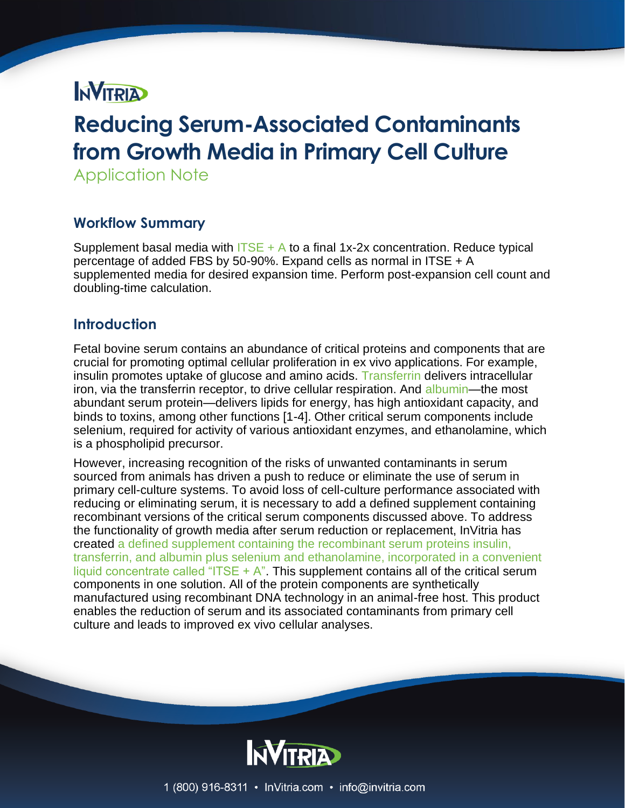# **NVITRIA**

# **Reducing Serum-Associated Contaminants from Growth Media in Primary Cell Culture**

Application Note

## **Workflow Summary**

Supplement basal media with  $|TSE + A$  to a final 1x-2x concentration. Reduce typical percentage of added FBS by 50-90%. Expand cells as normal in ITSE + A supplemented media for desired expansion time. Perform post-expansion cell count and doubling-time calculation.

## **Introduction**

Fetal bovine serum contains an abundance of critical proteins and components that are crucial for promoting optimal cellular proliferation in ex vivo applications. For example, insulin promotes uptake of glucose and amino acids. [Transferrin](file://///type/recombinant-transferrin/) delivers intracellular iron, via the transferrin receptor, to drive cellular respiration. And [albumin—](file://///type/recombinant-human-albumin/)the most abundant serum protein—delivers lipids for energy, has high antioxidant capacity, and binds to toxins, among other functions [1-4]. Other critical serum components include selenium, required for activity of various antioxidant enzymes, and ethanolamine, which is a phospholipid precursor.

However, increasing recognition of the risks of unwanted contaminants in serum sourced from animals has driven a push to reduce or eliminate the use of serum in primary cell-culture systems. To avoid loss of cell-culture performance associated with reducing or eliminating serum, it is necessary to add a defined supplement containing recombinant versions of the critical serum components discussed above. To address the functionality of growth media after serum reduction or replacement, InVitria has created [a defined supplement containing the recombinant serum proteins insulin,](file://///products/itse-a-insulin-transferrin/)  [transferrin, and albumin plus selenium and ethanolamine, incorporated in a convenient](file://///products/itse-a-insulin-transferrin/)  liquid concentrate called "ITSE  $+ A$ ". This supplement contains all of the critical serum components in one solution. All of the protein components are synthetically manufactured using recombinant DNA technology in an animal-free host. This product enables the reduction of serum and its associated contaminants from primary cell culture and leads to improved ex vivo cellular analyses.

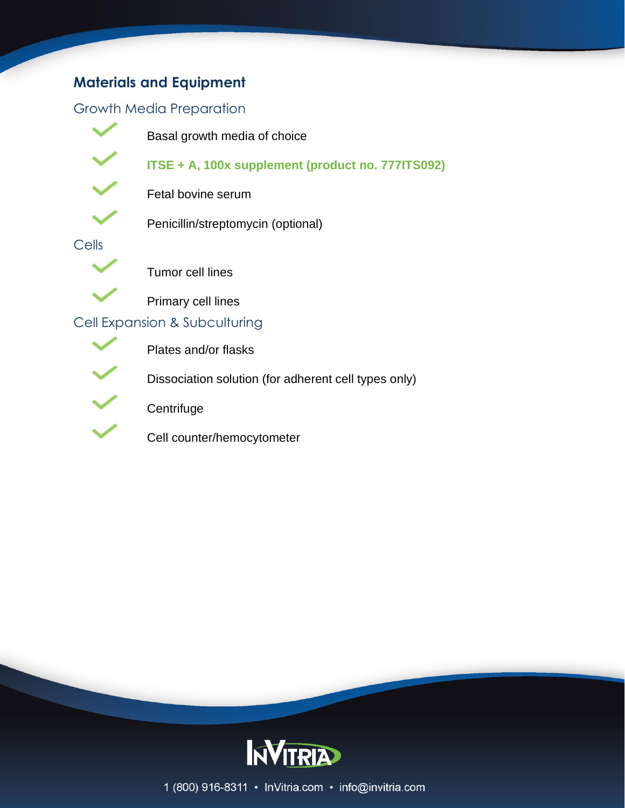## **Materials and Equipment**

### Growth Media Preparation



Basal growth media of choice

Penicillin/streptomycin (optional)

**[ITSE + A, 100x supplement \(product no. 777ITS092\)](file://///products/itse-a-insulin-transferrin/)**



Fetal bovine serum

Cells



Tumor cell lines

Primary cell lines

## Cell Expansion & Subculturing



Plates and/or flasks

Dissociation solution (for adherent cell types only)

**Centrifuge** 

Cell counter/hemocytometer



1 (800) 916-8311 · InVitria.com · info@invitria.com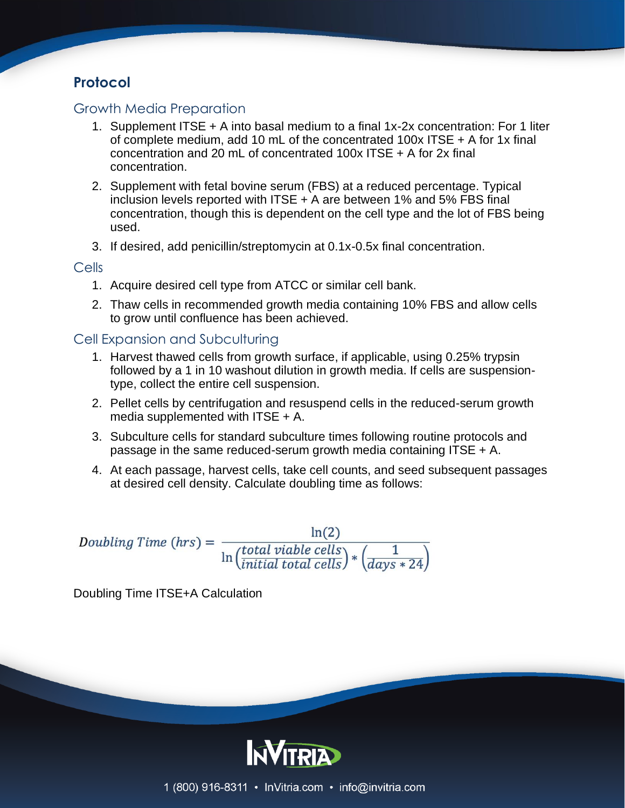## **Protocol**

#### Growth Media Preparation

- 1. Supplement ITSE + A into basal medium to a final 1x-2x concentration: For 1 liter of complete medium, add 10 mL of the concentrated 100x ITSE + A for 1x final concentration and 20 mL of concentrated 100x ITSE + A for 2x final concentration.
- 2. Supplement with fetal bovine serum (FBS) at a reduced percentage. Typical inclusion levels reported with ITSE + A are between 1% and 5% FBS final concentration, though this is dependent on the cell type and the lot of FBS being used.
- 3. If desired, add penicillin/streptomycin at 0.1x-0.5x final concentration.

#### Cells

- 1. Acquire desired cell type from ATCC or similar cell bank.
- 2. Thaw cells in recommended growth media containing 10% FBS and allow cells to grow until confluence has been achieved.

#### Cell Expansion and Subculturing

- 1. Harvest thawed cells from growth surface, if applicable, using 0.25% trypsin followed by a 1 in 10 washout dilution in growth media. If cells are suspensiontype, collect the entire cell suspension.
- 2. Pellet cells by centrifugation and resuspend cells in the reduced-serum growth media supplemented with ITSE + A.
- 3. Subculture cells for standard subculture times following routine protocols and passage in the same reduced-serum growth media containing ITSE + A.
- 4. At each passage, harvest cells, take cell counts, and seed subsequent passages at desired cell density. Calculate doubling time as follows:

Doubling Time (hrs) =  $\frac{\ln(2)}{\ln(\frac{total\,viable\,cells}{initial\,total\,cells}) * (\frac{1}{days} * 24)}$ 

Doubling Time ITSE+A Calculation

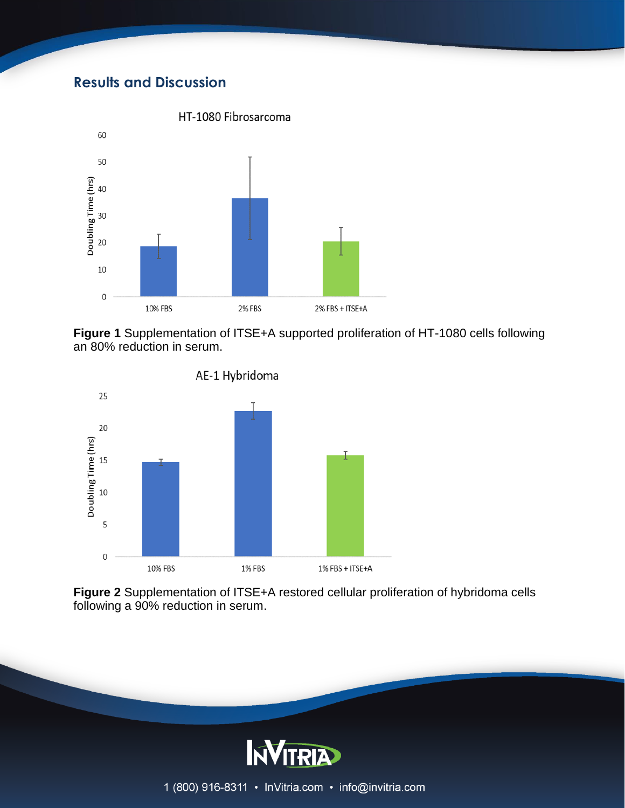## **Results and Discussion**



**Figure 1** Supplementation of ITSE+A supported proliferation of HT-1080 cells following an 80% reduction in serum.



**Figure 2** Supplementation of ITSE+A restored cellular proliferation of hybridoma cells following a 90% reduction in serum.

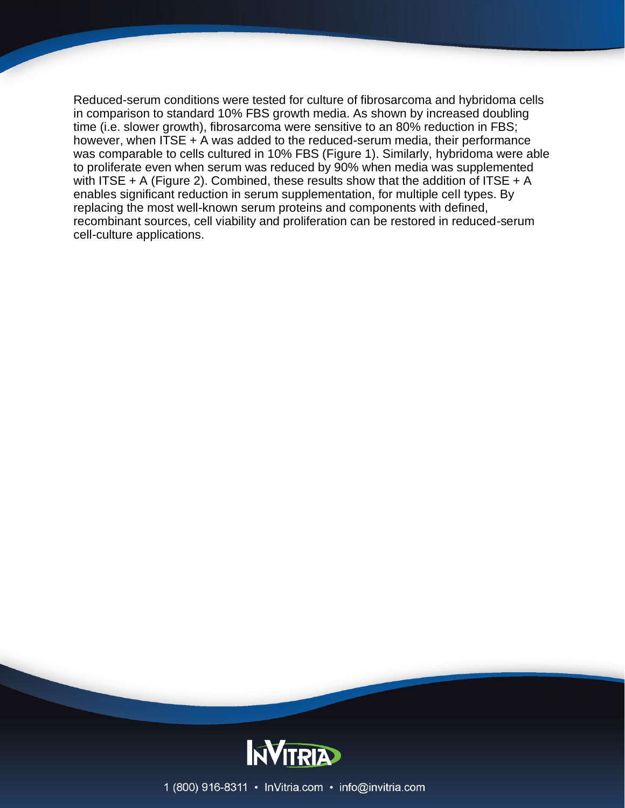Reduced-serum conditions were tested for culture of fibrosarcoma and hybridoma cells in comparison to standard 10% FBS growth media. As shown by increased doubling time (i.e. slower growth), fibrosarcoma were sensitive to an 80% reduction in FBS; however, when ITSE + A was added to the reduced-serum media, their performance was comparable to cells cultured in 10% FBS (Figure 1). Similarly, hybridoma were able to proliferate even when serum was reduced by 90% when media was supplemented with ITSE  $+$  A (Figure 2). Combined, these results show that the addition of ITSE  $+$  A enables significant reduction in serum supplementation, for multiple cell types. By replacing the most well-known serum proteins and components with defined, recombinant sources, cell viability and proliferation can be restored in reduced-serum cell-culture applications.



1 (800) 916-8311 • InVitria.com • info@invitria.com